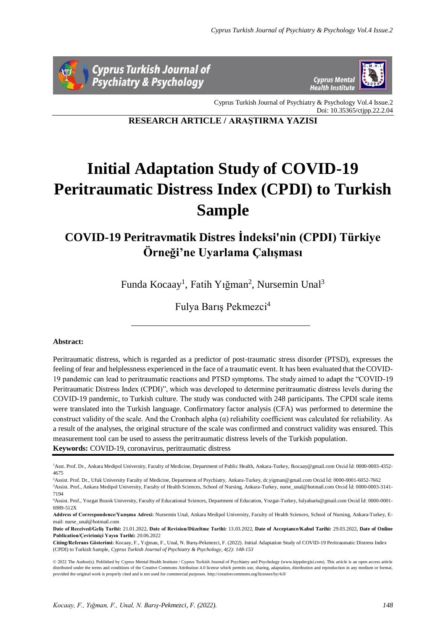



Cyprus Turkish Journal of Psychiatry & Psychology Vol.4 Issue.2 Doi: 10.35365/ctjpp.22.2.04

**RESEARCH ARTICLE / ARAŞTIRMA YAZISI**

# **Initial Adaptation Study of COVID-19 Peritraumatic Distress Index (CPDI) to Turkish Sample**

# **COVID-19 Peritravmatik Distres İndeksi'nin (CPDI) Türkiye Örneği'ne Uyarlama Çalışması**

Funda Kocaay<sup>1</sup>, Fatih Yığman<sup>2</sup>, Nursemin Unal<sup>3</sup>

Fulya Barış Pekmezci<sup>4</sup>

# **Abstract:**

Peritraumatic distress, which is regarded as a predictor of post-traumatic stress disorder (PTSD), expresses the feeling of fear and helplessness experienced in the face of a traumatic event. It has been evaluated that the COVID-19 pandemic can lead to peritraumatic reactions and PTSD symptoms. The study aimed to adapt the "COVID-19 Peritraumatic Distress Index (CPDI)", which was developed to determine peritraumatic distress levels during the COVID-19 pandemic, to Turkish culture. The study was conducted with 248 participants. The CPDI scale items were translated into the Turkish language. Confirmatory factor analysis (CFA) was performed to determine the construct validity of the scale. And the Cronbach alpha  $(\alpha)$  reliability coefficient was calculated for reliability. As a result of the analyses, the original structure of the scale was confirmed and construct validity was ensured. This measurement tool can be used to assess the peritraumatic distress levels of the Turkish population. **Keywords:** COVID-19, coronavirus, peritraumatic distress

<sup>2</sup>Assist. Prof. Dr., Ufuk University Faculty of Medicine, Department of Psychiatry, Ankara-Turkey, dr.yigman@gmail.com Orcid İd: 0000-0001-6052-7662

<sup>3</sup>Assist. Prof., Ankara Medipol University, Faculty of Health Sciences, School of Nursing, Ankara-Turkey, nurse\_unal@hotmail.com Orcid İd: 0000-0003-3141- 7194

**Address of Correspondence/Yazışma Adresi:** Nursemin Unal, Ankara Medipol University, Faculty of Health Sciences, School of Nursing, Ankara-Turkey, Email: nurse\_unal@hotmail.com

Citing/Referans Gösterimi: Kocaay, F., Yuğman, F., Unal, N. Barış-Pekmezci, F. (2022). Initial Adaptation Study of COVID-19 Peritraumatic Distress Index (CPDI) to Turkish Sample, *Cyprus Turkish Journal of Psychiatry & Psychology, 4(2): 148-153*

© 2022 The Author(s). Published by Cyprus Mental Health Institute / Cyprus Turkish Journal of Psychiatry and Psychology (www.ktppdergisi.com). This article is an open access article distributed under the terms and conditions of the Creative Commons Attribution 4.0 license which permits use, sharing, adaptation, distribution and reproduction in any medium or format, provided the original work is properly cited and is not used for commercial purposes. http://creativecommons.org/licenses/by/4.0/

<sup>1</sup>Asst. Prof. Dr., Ankara Medipol University, Faculty of Medicine, Department of Public Health, Ankara-Turkey, fkocaay@gmail.com Orcid İd: 0000-0003-4352- 4675

<sup>4</sup>Assist. Prof., Yozgat Bozok University, Faculty of Educational Sciences, Department of Education, Yozgat-Turkey, fulyabaris@gmail.com Orcid İd: 0000-0001- 6989-512X

**Date of Received/Geliş Tarihi:** 21.01.2022, **Date of Revision/Düzeltme Tarihi:** 13.03.2022, **Date of Acceptance/Kabul Tarihi:** 29.03.2022, **Date of Online Publication/Çevirimiçi Yayın Tarihi:** 20.06.2022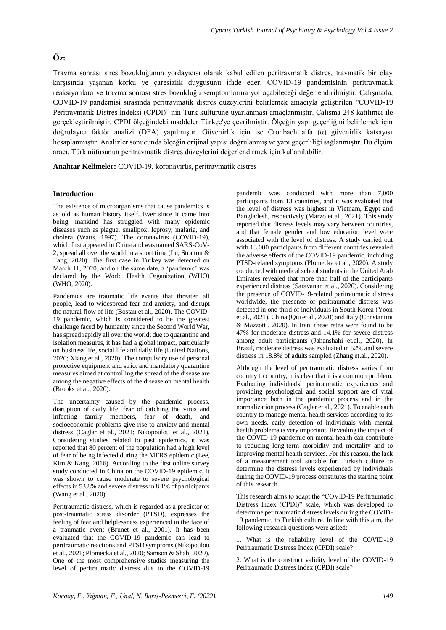# **Öz:**

Travma sonrası stres bozukluğunun yordayıcısı olarak kabul edilen peritravmatik distres, travmatik bir olay karşısında yaşanan korku ve çaresizlik duygusunu ifade eder. COVID-19 pandemisinin peritravmatik reaksiyonlara ve travma sonrası stres bozukluğu semptomlarına yol açabileceği değerlendirilmiştir. Çalışmada, COVID-19 pandemisi sırasında peritravmatik distres düzeylerini belirlemek amacıyla geliştirilen "COVID-19 Peritravmatik Distres İndeksi (CPDI)" nin Türk kültürüne uyarlanması amaçlanmıştır. Çalışma 248 katılımcı ile gerçekleştirilmiştir. CPDI ölçeğindeki maddeler Türkçe'ye çevrilmiştir. Ölçeğin yapı geçerliğini belirlemek için doğrulayıcı faktör analizi (DFA) yapılmıştır. Güvenirlik için ise Cronbach alfa (α) güvenirlik katsayısı hesaplanmıştır. Analizler sonucunda ölçeğin orijinal yapısı doğrulanmış ve yapı geçerliliği sağlanmıştır. Bu ölçüm aracı, Türk nüfusunun peritravmatik distres düzeylerini değerlendirmek için kullanılabilir.

**Anahtar Kelimeler:** COVID-19, koronavirüs, peritravmatik distres

# **Introduction**

The existence of microorganisms that cause pandemics is as old as human history itself. Ever since it came into being, mankind has struggled with many epidemic diseases such as plague, smallpox, leprosy, malaria, and cholera (Watts, 1997). The coronavirus (COVID-19), which first appeared in China and was named SARS-CoV-2, spread all over the world in a short time (Lu, Stratton & Tang, 2020). The first case in Turkey was detected on March 11, 2020, and on the same date, a 'pandemic' was declared by the World Health Organization (WHO) (WHO, 2020).

Pandemics are traumatic life events that threaten all people, lead to widespread fear and anxiety, and disrupt the natural flow of life (Bostan et al., 2020). The COVID-19 pandemic, which is considered to be the greatest challenge faced by humanity since the Second World War, has spread rapidly all over the world; due to quarantine and isolation measures, it has had a global impact, particularly on business life, social life and daily life (United Nations, 2020; Xiang et al., 2020). The compulsory use of personal protective equipment and strict and mandatory quarantine measures aimed at controlling the spread of the disease are among the negative effects of the disease on mental health (Brooks et al., 2020).

The uncertainty caused by the pandemic process, disruption of daily life, fear of catching the virus and infecting family members, fear of death, and socioeconomic problems give rise to anxiety and mental distress (Caglar et al., 2021; Nikopoulou et al., 2021). Considering studies related to past epidemics, it was reported that 80 percent of the population had a high level of fear of being infected during the MERS epidemic (Lee, Kim & Kang, 2016). According to the first online survey study conducted in China on the COVID-19 epidemic, it was shown to cause moderate to severe psychological effects in 53.8% and severe distress in 8.1% of participants (Wang et al., 2020).

Peritraumatic distress, which is regarded as a predictor of post-traumatic stress disorder (PTSD), expresses the feeling of fear and helplessness experienced in the face of a traumatic event (Brunet et al., 2001). It has been evaluated that the COVID-19 pandemic can lead to peritraumatic reactions and PTSD symptoms (Nikopoulou et al., 2021; Plomecka et al., 2020; Samson & Shah, 2020). One of the most comprehensive studies measuring the level of peritraumatic distress due to the COVID-19 pandemic was conducted with more than 7,000 participants from 13 countries, and it was evaluated that the level of distress was highest in Vietnam, Egypt and Bangladesh, respectively (Marzo et al., 2021). This study reported that distress levels may vary between countries, and that female gender and low education level were associated with the level of distress. A study carried out with 13,000 participants from different countries revealed the adverse effects of the COVID-19 pandemic, including PTSD-related symptoms (Plomecka et al., 2020). A study conducted with medical school students in the United Arab Emirates revealed that more than half of the participants experienced distress (Saravanan et al., 2020). Considering the presence of COVID-19-related peritraumatic distress worldwide, the presence of peritraumatic distress was detected in one third of individuals in South Korea (Yoon et.al., 2021), China (Qiu et al., 2020) and Italy (Constantini & Mazzotti, 2020). In Iran, these rates were found to be 47% for moderate distress and 14.1% for severe distress among adult participants (Jahanshahi et.al., 2020). In Brazil, moderate distress was evaluated in 52% and severe distress in 18.8% of adults sampled (Zhang et.al., 2020).

Although the level of peritraumatic distress varies from country to country, it is clear that it is a common problem. Evaluating individuals' peritraumatic experiences and providing psychological and social support are of vital importance both in the pandemic process and in the normalization process (Caglar et al., 2021). To enable each country to manage mental health services according to its own needs, early detection of individuals with mental health problems is very important. Revealing the impact of the COVID-19 pandemic on mental health can contribute to reducing long-term morbidity and mortality and to improving mental health services. For this reason, the lack of a measurement tool suitable for Turkish culture to determine the distress levels experienced by individuals during the COVID-19 process constitutes the starting point of this research.

This research aims to adapt the "COVID-19 Peritraumatic Distress Index (CPDI)" scale, which was developed to determine peritraumatic distress levels during the COVID-19 pandemic, to Turkish culture. In line with this aim, the following research questions were asked:

1. What is the reliability level of the COVID-19 Peritraumatic Distress Index (CPDI) scale?

2. What is the construct validity level of the COVID-19 Peritraumatic Distress Index (CPDI) scale?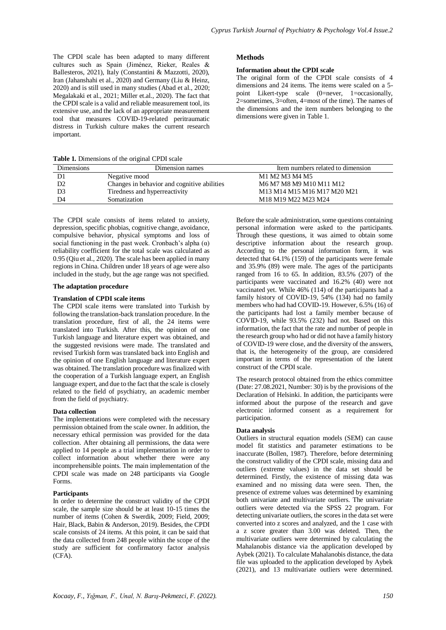The CPDI scale has been adapted to many different cultures such as Spain (Jiménez, Rieker, Reales & Ballesteros, 2021), Italy (Constantini & Mazzotti, 2020), Iran (Jahanshahi et al., 2020) and Germany (Liu & Heinz, 2020) and is still used in many studies (Abad et al., 2020; Megalakaki et al., 2021; Miller et.al., 2020). The fact that the CPDI scale is a valid and reliable measurement tool, its extensive use, and the lack of an appropriate measurement tool that measures COVID-19-related peritraumatic distress in Turkish culture makes the current research important.

**Table 1.** Dimensions of the original CPDI scale

| Dimensions | Dimension names                             | Item numbers related to dimension |
|------------|---------------------------------------------|-----------------------------------|
|            | Negative mood                               | M1 M2 M3 M4 M5                    |
| D2         | Changes in behavior and cognitive abilities | M6 M7 M8 M9 M10 M11 M12           |
| D3         | Tiredness and hyperreactivity               | M13 M14 M15 M16 M17 M20 M21       |
| D4         | Somatization                                | M18 M19 M22 M23 M24               |

The CPDI scale consists of items related to anxiety, depression, specific phobias, cognitive change, avoidance, compulsive behavior, physical symptoms and loss of social functioning in the past week. Cronbach's alpha  $(\alpha)$ reliability coefficient for the total scale was calculated as 0.95 (Qiu et al., 2020). The scale has been applied in many regions in China. Children under 18 years of age were also included in the study, but the age range was not specified.

#### **The adaptation procedure**

# **Translation of CPDI scale items**

The CPDI scale items were translated into Turkish by following the translation-back translation procedure. In the translation procedure, first of all, the 24 items were translated into Turkish. After this, the opinion of one Turkish language and literature expert was obtained, and the suggested revisions were made. The translated and revised Turkish form was translated back into English and the opinion of one English language and literature expert was obtained. The translation procedure was finalized with the cooperation of a Turkish language expert, an English language expert, and due to the fact that the scale is closely related to the field of psychiatry, an academic member from the field of psychiatry.

# **Data collection**

The implementations were completed with the necessary permission obtained from the scale owner. In addition, the necessary ethical permission was provided for the data collection. After obtaining all permissions, the data were applied to 14 people as a trial implementation in order to collect information about whether there were any incomprehensible points. The main implementation of the CPDI scale was made on 248 participants via Google Forms.

# **Participants**

In order to determine the construct validity of the CPDI scale, the sample size should be at least 10-15 times the number of items (Cohen & Swerdik, 2009; Field, 2009; Hair, Black, Babin & Anderson, 2019). Besides, the CPDI scale consists of 24 items. At this point, it can be said that the data collected from 248 people within the scope of the study are sufficient for confirmatory factor analysis (CFA).

**Methods**

# **Information about the CPDI scale**

The original form of the CPDI scale consists of 4 dimensions and 24 items. The items were scaled on a 5 point Likert-type scale (0=never, 1=occasionally, 2=sometimes, 3=often, 4=most of the time). The names of the dimensions and the item numbers belonging to the dimensions were given in Table 1.

Before the scale administration, some questions containing personal information were asked to the participants. Through these questions, it was aimed to obtain some descriptive information about the research group. According to the personal information form, it was detected that  $64.1\%$  (159) of the participants were female and 35.9% (89) were male. The ages of the participants ranged from 16 to 65. In addition, 83.5%  $(207)$  of the participants were vaccinated and 16.2% (40) were not vaccinated yet. While 46% (114) of the participants had a family history of COVID-19, 54% (134) had no family members who had had COVID-19. However, 6.5% (16) of the participants had lost a family member because of COVID-19, while 93.5% (232) had not. Based on this information, the fact that the rate and number of people in the research group who had or did not have a family history of COVID-19 were close, and the diversity of the answers, that is, the heterogeneity of the group, are considered important in terms of the representation of the latent construct of the CPDI scale.

The research protocol obtained from the ethics committee (Date: 27.08.2021, Number: 30) is by the provisions of the Declaration of Helsinki. In addition, the participants were informed about the purpose of the research and gave electronic informed consent as a requirement for participation.

# **Data analysis**

Outliers in structural equation models (SEM) can cause model fit statistics and parameter estimations to be inaccurate (Bollen, 1987). Therefore, before determining the construct validity of the CPDI scale, missing data and outliers (extreme values) in the data set should be determined. Firstly, the existence of missing data was examined and no missing data were seen. Then, the presence of extreme values was determined by examining both univariate and multivariate outliers. The univariate outliers were detected via the SPSS 22 program. For detecting univariate outliers, the scores in the data set were converted into z scores and analyzed, and the 1 case with a z score greater than 3.00 was deleted. Then, the multivariate outliers were determined by calculating the Mahalanobis distance via the application developed by Aybek (2021). To calculate Mahalanobis distance, the data file was uploaded to the application developed by Aybek (2021), and 13 multivariate outliers were determined.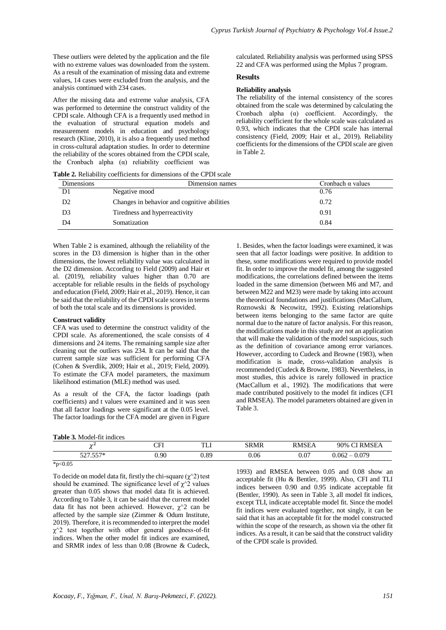These outliers were deleted by the application and the file with no extreme values was downloaded from the system. As a result of the examination of missing data and extreme values, 14 cases were excluded from the analysis, and the analysis continued with 234 cases.

After the missing data and extreme value analysis, CFA was performed to determine the construct validity of the CPDI scale. Although CFA is a frequently used method in the evaluation of structural equation models and measurement models in education and psychology research (Kline, 2010), it is also a frequently used method in cross-cultural adaptation studies. In order to determine the reliability of the scores obtained from the CPDI scale, the Cronbach alpha  $(\alpha)$  reliability coefficient was

calculated. Reliability analysis was performed using SPSS 22 and CFA was performed using the Mplus 7 program.

#### **Results**

# **Reliability analysis**

The reliability of the internal consistency of the scores obtained from the scale was determined by calculating the Cronbach alpha (α) coefficient. Accordingly, the reliability coefficient for the whole scale was calculated as 0.93, which indicates that the CPDI scale has internal consistency (Field, 2009; Hair et al., 2019). Reliability coefficients for the dimensions of the CPDI scale are given in Table 2.

1. Besides, when the factor loadings were examined, it was seen that all factor loadings were positive. In addition to these, some modifications were required to provide model fit. In order to improve the model fit, among the suggested modifications, the correlations defined between the items loaded in the same dimension (between M6 and M7, and between M22 and M23) were made by taking into account the theoretical foundations and justifications (MacCallum, Roznowski & Necowitz, 1992). Existing relationships between items belonging to the same factor are quite

**Table 2.** Reliability coefficients for dimensions of the CPDI scale

| <b>Dimensions</b> | Dimension names                             | Cronbach $\alpha$ values |  |  |
|-------------------|---------------------------------------------|--------------------------|--|--|
| D1                | Negative mood                               | 0.76                     |  |  |
| D2                | Changes in behavior and cognitive abilities | 0.72                     |  |  |
| D3                | Tiredness and hyperreactivity               | 0.91                     |  |  |
| D4                | Somatization                                | 0.84                     |  |  |

When Table 2 is examined, although the reliability of the scores in the D3 dimension is higher than in the other dimensions, the lowest reliability value was calculated in the D2 dimension. According to Field (2009) and Hair et al. (2019), reliability values higher than 0.70 are acceptable for reliable results in the fields of psychology and education (Field, 2009; Hair et al., 2019). Hence, it can be said that the reliability of the CPDI scale scores in terms of both the total scale and its dimensions is provided.

# **Construct validity**

CFA was used to determine the construct validity of the CPDI scale. As aforementioned, the scale consists of dimensions and 24 items. The remaining sample size after cleaning out the outliers was 234. It can be said that the current sample size was sufficient for performing CFA (Cohen & Sverdlik, 2009; Hair et al., 2019; Field, 2009). To estimate the CFA model parameters, the maximum likelihood estimation (MLE) method was used.

As a result of the CFA, the factor loadings (path coefficients) and t values were examined and it was seen that all factor loadings were significant at the 0.05 level. The factor loadings for the CFA model are given in Figure

**Table 3.** Model-fit indices

|    | normal due to the nature of factor analysis. For this reason, |
|----|---------------------------------------------------------------|
| e  | the modifications made in this study are not an application   |
| 4  | that will make the validation of the model suspicious, such   |
| r  | as the definition of covariance among error variances.        |
| e  | However, according to Cudeck and Browne (1983), when          |
| 4  | modification is made, cross-validation analysis is            |
| ). | recommended (Cudeck & Browne, 1983). Nevertheless, in         |
| n  | most studies, this advice is rarely followed in practice      |
|    | (MacCallum et al., 1992). The modifications that were         |
| h  | made contributed positively to the model fit indices (CFI)    |
| n  | and RMSEA). The model parameters obtained are given in        |
| l. | Table 3.                                                      |
|    |                                                               |

| $\overline{\phantom{a}}$<br><b>16</b> | $\cap$ FI<br>u i | <b>COLUMN</b><br>⊥∟⊥ | <b>SRMR</b> | 50T<br><b>D.A.</b> | $\mathcal{D}MSEA$<br>90%                   |
|---------------------------------------|------------------|----------------------|-------------|--------------------|--------------------------------------------|
| $P P T \rightarrow$<br>-05<br><i></i> | $_{0.90}$        | ).89                 | 0.06        | 0.07               | 0.079<br>0.062<br>$\overline{\phantom{a}}$ |

 $*_{p<0.05}$ 

To decide on model data fit, firstly the chi-square  $(\gamma^2)$  test should be examined. The significance level of  $\chi$ <sup> $\land$ 2</sup> values greater than 0.05 shows that model data fit is achieved. According to Table 3, it can be said that the current model data fit has not been achieved. However,  $\chi^2$  can be affected by the sample size (Zimmer & Odum Institute, 2019). Therefore, it is recommended to interpret the model  $\chi$ <sup>2</sup> test together with other general goodness-of-fit indices. When the other model fit indices are examined, and SRMR index of less than 0.08 (Browne & Cudeck,

1993) and RMSEA between 0.05 and 0.08 show an acceptable fit (Hu & Bentler, 1999). Also, CFI and TLI indices between 0.90 and 0.95 indicate acceptable fit (Bentler, 1990). As seen in Table 3, all model fit indices, except TLI, indicate acceptable model fit. Since the model fit indices were evaluated together, not singly, it can be said that it has an acceptable fit for the model constructed within the scope of the research, as shown via the other fit indices. As a result, it can be said that the construct validity of the CPDI scale is provided.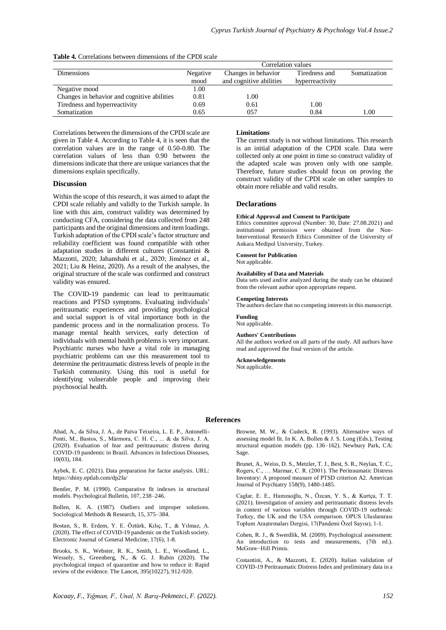|  | <b>Table 4.</b> Correlations between dimensions of the CPDI scale |  |  |  |  |
|--|-------------------------------------------------------------------|--|--|--|--|
|--|-------------------------------------------------------------------|--|--|--|--|

|                                             |          | Correlation values      |                 |              |  |
|---------------------------------------------|----------|-------------------------|-----------------|--------------|--|
| Dimensions                                  | Negative | Changes in behavior     | Tiredness and   | Somatization |  |
|                                             | mood     | and cognitive abilities | hyperreactivity |              |  |
| Negative mood                               | 1.00     |                         |                 |              |  |
| Changes in behavior and cognitive abilities | 0.81     | 1.00                    |                 |              |  |
| Tiredness and hyperreactivity               | 0.69     | 0.61                    | 1.00            |              |  |
| Somatization                                | 0.65     | 057                     | 0.84            | .00          |  |

Correlations between the dimensions of the CPDI scale are given in Table 4. According to Table 4, it is seen that the correlation values are in the range of 0.50-0.80. The correlation values of less than 0.90 between the dimensions indicate that there are unique variances that the dimensions explain specifically.

# **Discussion**

Within the scope of this research, it was aimed to adapt the CPDI scale reliably and validly to the Turkish sample. In line with this aim, construct validity was determined by conducting CFA, considering the data collected from 248 participants and the original dimensions and item loadings. Turkish adaptation of the CPDI scale's factor structure and reliability coefficient was found compatible with other adaptation studies in different cultures (Constantini & Mazzotti, 2020; Jahanshahi et al., 2020; Jiménez et al., 2021; Liu & Heinz, 2020). As a result of the analyses, the original structure of the scale was confirmed and construct validity was ensured.

The COVID-19 pandemic can lead to peritraumatic reactions and PTSD symptoms. Evaluating individuals' peritraumatic experiences and providing psychological and social support is of vital importance both in the pandemic process and in the normalization process. To manage mental health services, early detection of individuals with mental health problems is very important. Psychiatric nurses who have a vital role in managing psychiatric problems can use this measurement tool to determine the peritraumatic distress levels of people in the Turkish community. Using this tool is useful for identifying vulnerable people and improving their psychosocial health.

# **Limitations**

The current study is not without limitations. This research is an initial adaptation of the CPDI scale. Data were collected only at one point in time so construct validity of the adapted scale was proven only with one sample. Therefore, future studies should focus on proving the construct validity of the CPDI scale on other samples to obtain more reliable and valid results.

# **Declarations**

#### **Ethical Approval and Consent to Participate**

Ethics committee approval (Number: 30, Date: 27.08.2021) and institutional permission were obtained from the Non-Interventional Research Ethics Committee of the University of Ankara Medipol University, Turkey.

# **Consent for Publication**

# Not applicable.

# **Availability of Data and Materials**

Data sets used and/or analyzed during the study can be obtained from the relevant author upon appropriate request.

#### **Competing Interests**

The authors declare that no competing interests in this manuscript.

#### **Funding**

Not applicable.

#### **Authors' Contributions**

All the authors worked on all parts of the study. All authors have read and approved the final version of the article.

#### **Acknowledgements**

Not applicable.

#### **References**

Abad, A., da Silva, J. A., de Paiva Teixeira, L. E. P., Antonelli-Ponti, M., Bastos, S., Mármora, C. H. C., ... & da Silva, J. A. (2020). Evaluation of fear and peritraumatic distress during COVID-19 pandemic in Brazil. Advances in Infectious Diseases, 10(03), 184.

Aybek, E. C. (2021). Data preparation for factor analysis. URL: https://shiny.eptlab.com/dp2fa/

Bentler, P. M. (1990). Comparative fit indexes in structural models. Psychological Bulletin, 107, 238–246.

Bollen, K. A. (1987). Outliers and improper solutions. Sociological Methods & Research, 15, 375–384.

Bostan, S., R. Erdem, Y. E. Öztürk, Kılıç, T., & Yılmaz, A. (2020). The effect of COVID-19 pandemic on the Turkish society. Electronic Journal of General Medicine, 17(6), 1-8.

Brooks, S. K., Webster, R. K., Smith, L. E., Woodland, L., Wessely, S., Greenberg, N., & G. J. Rubin (2020). The psychological impact of quarantine and how to reduce it: Rapid review of the evidence. The Lancet, 395(10227), 912-920.

Browne, M. W., & Cudeck, R. (1993). Alternative ways of assessing model fit. In K. A. Bollen & J. S. Long (Eds.), Testing structural equation models (pp. 136–162). Newbury Park, CA: Sage.

Brunet, A., Weiss, D. S., Metzler, T. J., Best, S. R., Neylan, T. C., Rogers, C., … Marmar, C. R. (2001). The Peritraumatic Distress Inventory: A proposed measure of PTSD criterion A2. American Journal of Psychiatry 158(9), 1480-1485.

Caglar, E. E., Hamzaoğlu, N., Özcan, Y. S., & Kurtça, T. T. (2021). Investigation of anxiety and peritraumatic distress levels in context of various variables through COVID-19 outbreak: Turkey, the UK and the USA comparison. OPUS Uluslararası Toplum Araştırmaları Dergisi, 17(Pandemi Özel Sayısı), 1-1.

Cohen, R. J., & Swerdlik, M. (2009). Psychological assessment: An introduction to tests and measurements, (7th ed.). McGraw−Hill Primis.

Costantini, A., & Mazzotti, E. (2020). Italian validation of COVID-19 Peritraumatic Distress Index and preliminary data in a